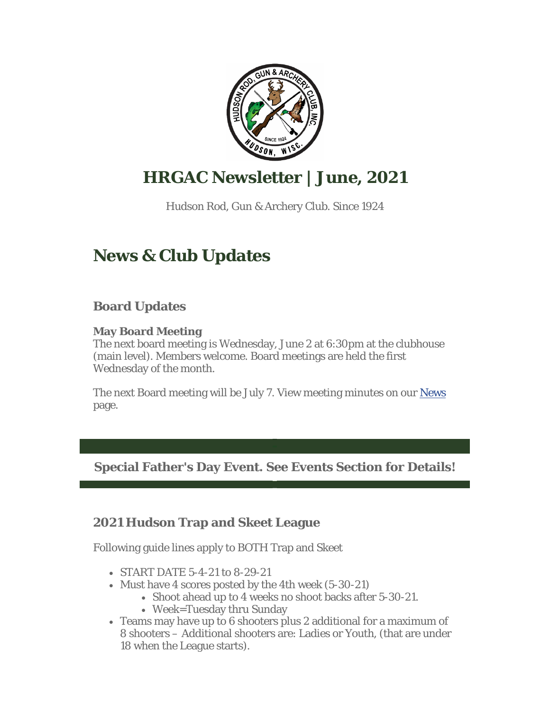

## **HRGAC Newsletter | June, 2021**

Hudson Rod, Gun & Archery Club. Since 1924

## **News & Club Updates**

## **Board Updates**

#### **May Board Meeting**

The next board meeting is Wednesday, June 2 at 6:30pm at the clubhouse (main level). Members welcome. Board meetings are held the first Wednesday of the month.

The next Board meeting will be July 7. View meeting minutes on our News page.

**Special Father's Day Event. See Events Section for Details!**

## **2021 Hudson Trap and Skeet League**

Following guide lines apply to BOTH Trap and Skeet

- START DATE 5-4-21 to 8-29-21
- Must have 4 scores posted by the 4th week (5-30-21)
	- Shoot ahead up to 4 weeks no shoot backs after 5-30-21.
	- Week=Tuesday thru Sunday
- Teams may have up to 6 shooters plus 2 additional for a maximum of 8 shooters – Additional shooters are: Ladies or Youth, (that are under 18 when the League starts).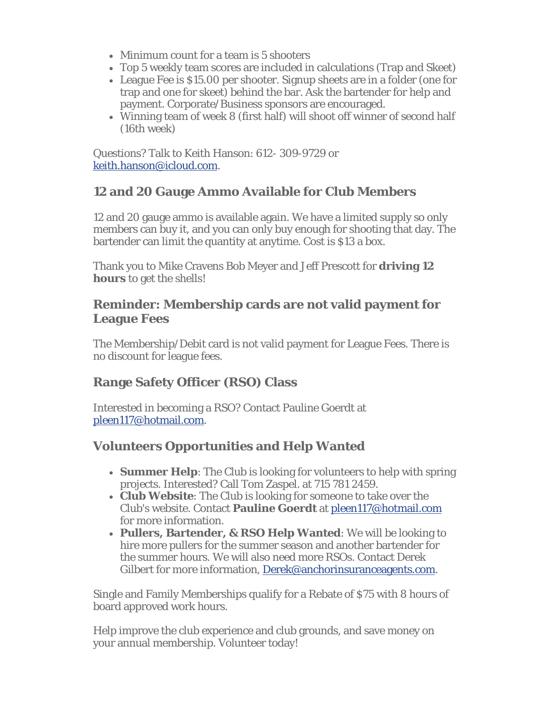- Minimum count for a team is 5 shooters
- Top 5 weekly team scores are included in calculations (Trap and Skeet)
- League Fee is \$15.00 per shooter. Signup sheets are in a folder (one for trap and one for skeet) behind the bar. Ask the bartender for help and payment. Corporate/Business sponsors are encouraged.
- Winning team of week 8 (first half) will shoot off winner of second half (16th week)

Questions? Talk to Keith Hanson: 612- 309-9729 or keith.hanson@icloud.com.

## **12 and 20 Gauge Ammo Available for Club Members**

12 and 20 gauge ammo is available again. We have a limited supply so only members can buy it, and you can only buy enough for shooting that day. The bartender can limit the quantity at anytime. Cost is \$13 a box.

Thank you to Mike Cravens Bob Meyer and Jeff Prescott for **driving 12 hours** to get the shells!

### **Reminder: Membership cards are not valid payment for League Fees**

The Membership/Debit card is not valid payment for League Fees. There is no discount for league fees.

## **Range Safety Officer (RSO) Class**

Interested in becoming a RSO? Contact Pauline Goerdt at pleen117@hotmail.com.

## **Volunteers Opportunities and Help Wanted**

- **Summer Help**: The Club is looking for volunteers to help with spring projects. Interested? Call Tom Zaspel. at 715 781 2459.
- **Club Website**: The Club is looking for someone to take over the Club's website. Contact **Pauline Goerdt** at pleen117@hotmail.com for more information.
- **Pullers, Bartender, & RSO Help Wanted**: We will be looking to hire more pullers for the summer season and another bartender for the summer hours. We will also need more RSOs. Contact Derek Gilbert for more information, Derek@anchorinsuranceagents.com.

Single and Family Memberships qualify for a Rebate of \$75 with 8 hours of board approved work hours.

Help improve the club experience and club grounds, and save money on your annual membership. Volunteer today!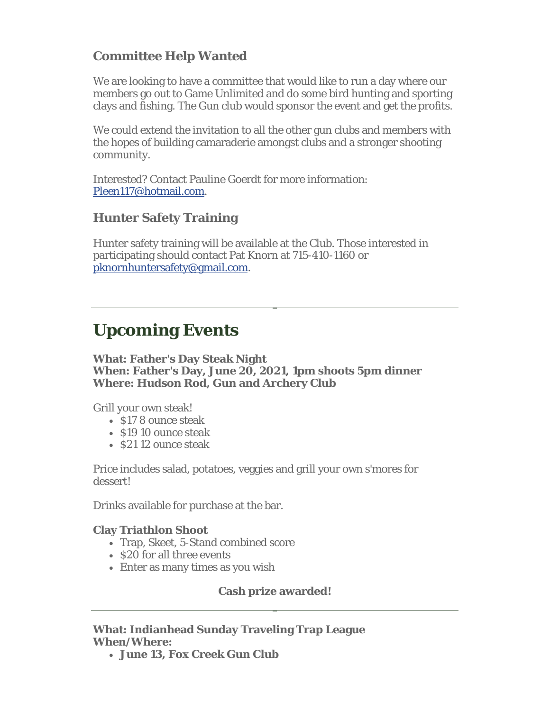## **Committee Help Wanted**

We are looking to have a committee that would like to run a day where our members go out to Game Unlimited and do some bird hunting and sporting clays and fishing. The Gun club would sponsor the event and get the profits.

We could extend the invitation to all the other gun clubs and members with the hopes of building camaraderie amongst clubs and a stronger shooting community.

Interested? Contact Pauline Goerdt for more information: Pleen117@hotmail.com.

### **Hunter Safety Training**

Hunter safety training will be available at the Club. Those interested in participating should contact Pat Knorn at 715-410-1160 or pknornhuntersafety@gmail.com.

## **Upcoming Events**

#### **What: Father's Day Steak Night When: Father's Day, June 20, 2021, 1pm shoots 5pm dinner Where: Hudson Rod, Gun and Archery Club**

Grill your own steak!

- \$17 8 ounce steak
- $\cdot$  \$19 10 ounce steak
- \$21 12 ounce steak

Price includes salad, potatoes, veggies and grill your own s'mores for dessert!

Drinks available for purchase at the bar.

#### **Clay Triathlon Shoot**

- Trap, Skeet, 5-Stand combined score
- $\cdot$  \$20 for all three events
- Enter as many times as you wish

#### **Cash prize awarded!**

#### **What: Indianhead Sunday Traveling Trap League When/Where:**

**June 13, Fox Creek Gun Club**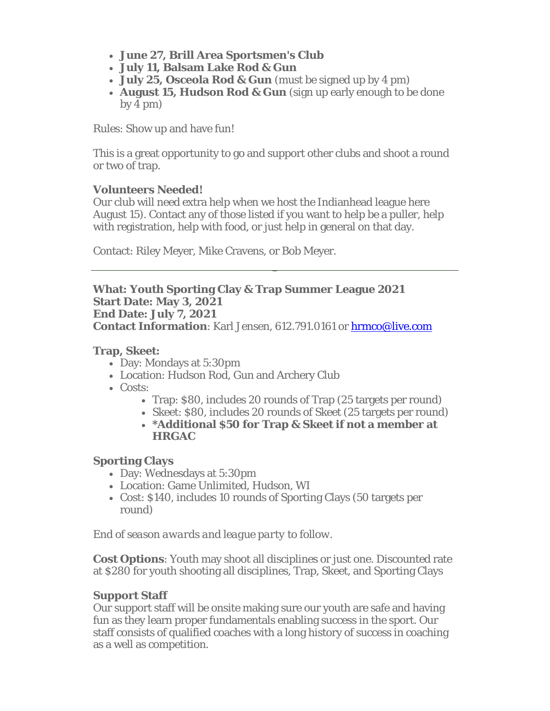- **June 27, Brill Area Sportsmen's Club**
- **July 11, Balsam Lake Rod & Gun**
- **July 25, Osceola Rod & Gun** (must be signed up by 4 pm)
- **August 15, Hudson Rod & Gun** (sign up early enough to be done  $by 4 pm$ )

Rules: Show up and have fun!

This is a great opportunity to go and support other clubs and shoot a round or two of trap.

#### **Volunteers Needed!**

Our club will need extra help when we host the Indianhead league here August 15). Contact any of those listed if you want to help be a puller, help with registration, help with food, or just help in general on that day.

Contact: Riley Meyer, Mike Cravens, or Bob Meyer.

**What: Youth Sporting Clay & Trap Summer League 2021 Start Date: May 3, 2021 End Date: July 7, 2021 Contact Information**: Karl Jensen, 612.791.0161 or hrmco@live.com

#### **Trap, Skeet:**

- Day: Mondays at 5:30pm
- Location: Hudson Rod, Gun and Archery Club
- Costs:
	- Trap: \$80, includes 20 rounds of Trap (25 targets per round)
	- Skeet: \$80, includes 20 rounds of Skeet (25 targets per round)
	- **\*Additional \$50 for Trap & Skeet if not a member at HRGAC**

#### **Sporting Clays**

- Day: Wednesdays at 5:30pm
- Location: Game Unlimited, Hudson, WI
- Cost: \$140, includes 10 rounds of Sporting Clays (50 targets per round)

*End of season awards and league party to follow.*

**Cost Options**: Youth may shoot all disciplines or just one. Discounted rate at \$280 for youth shooting all disciplines, Trap, Skeet, and Sporting Clays

#### **Support Staff**

Our support staff will be onsite making sure our youth are safe and having fun as they learn proper fundamentals enabling success in the sport. Our staff consists of qualified coaches with a long history of success in coaching as a well as competition.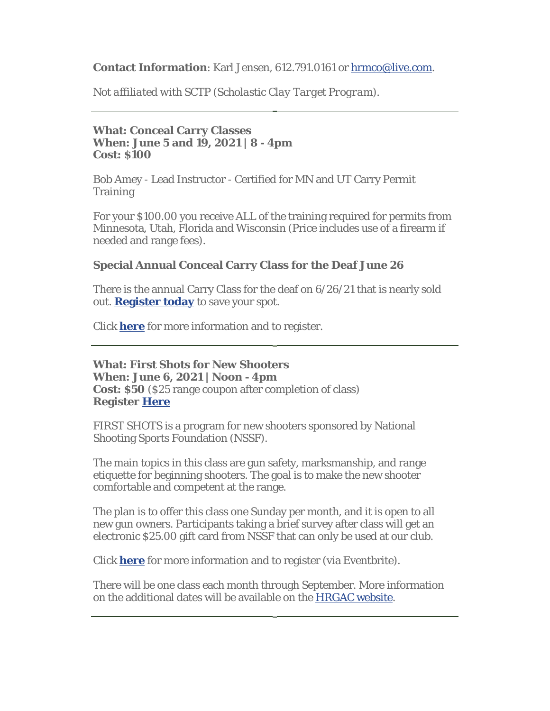#### **Contact Information**: Karl Jensen, 612.791.0161 or hrmco@live.com.

*Not affiliated with SCTP (Scholastic Clay Target Program).*

#### **What: Conceal Carry Classes When: June 5 and 19, 2021 | 8 - 4pm Cost: \$100**

Bob Amey - Lead Instructor - Certified for MN and UT Carry Permit **Training** 

For your \$100.00 you receive ALL of the training required for permits from Minnesota, Utah, Florida and Wisconsin (Price includes use of a firearm if needed and range fees).

#### **Special Annual Conceal Carry Class for the Deaf June 26**

There is the annual Carry Class for the deaf on 6/26/21 that is nearly sold out. **Register today** to save your spot.

Click **here** for more information and to register.

**What: First Shots for New Shooters When: June 6, 2021 | Noon - 4pm Cost: \$50** (\$25 range coupon after completion of class) **Register Here**

FIRST SHOTS is a program for new shooters sponsored by National Shooting Sports Foundation (NSSF).

The main topics in this class are gun safety, marksmanship, and range etiquette for beginning shooters. The goal is to make the new shooter comfortable and competent at the range.

The plan is to offer this class one Sunday per month, and it is open to all new gun owners. Participants taking a brief survey after class will get an electronic \$25.00 gift card from NSSF that can only be used at our club.

Click **here** for more information and to register (via Eventbrite).

There will be one class each month through September. More information on the additional dates will be available on the HRGAC website.